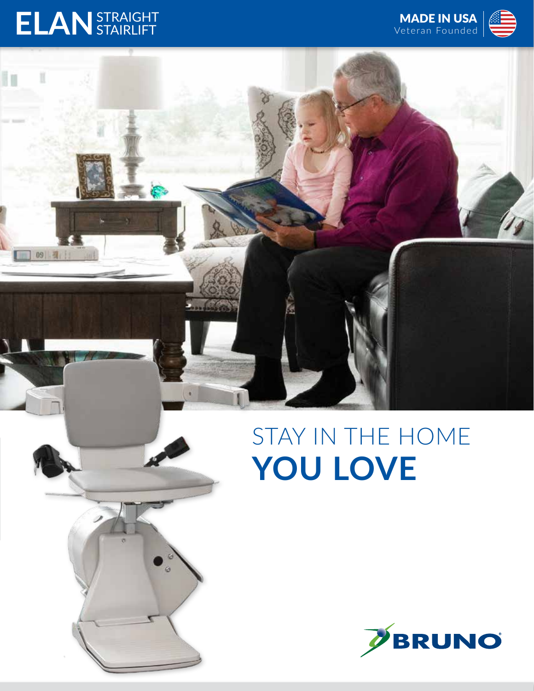## **ELAN**STRAIGHT STAIRLIFT

09 早

i.



## STAY IN THE HOME **YOU LOVE**

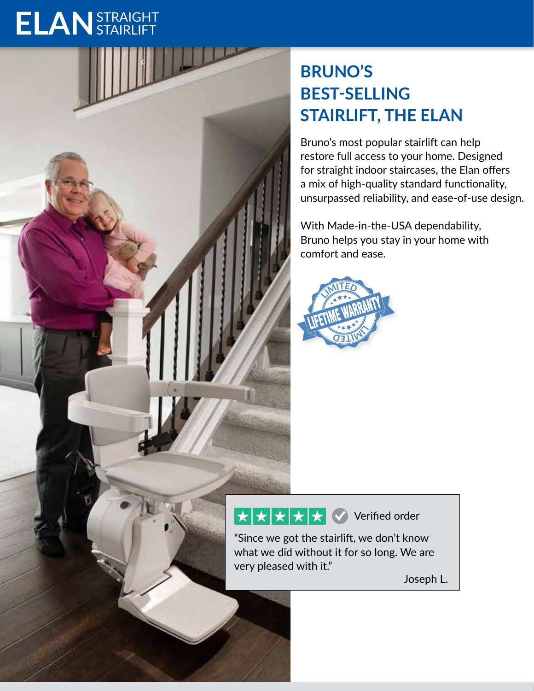# **ELAN**STRAIGHT STAIRLIFT

### **BRUNO'S BEST-SELLING STAIRLIFT, THE ELAN**

Bruno's most popular stairlift can help restore full access to your home. Designed for straight indoor staircases, the Elan offers a mix of high-quality standard functionality, unsurpassed reliability, and ease-of-use design.

With Made-in-the-USA dependability, Bruno helps you stay in your home with comfort and ease.



#### $\star \star \star \bullet$  Verified order

"Since we got the stairlift, we don't know what we did without it for so long. We are very pleased with it."

Joseph L.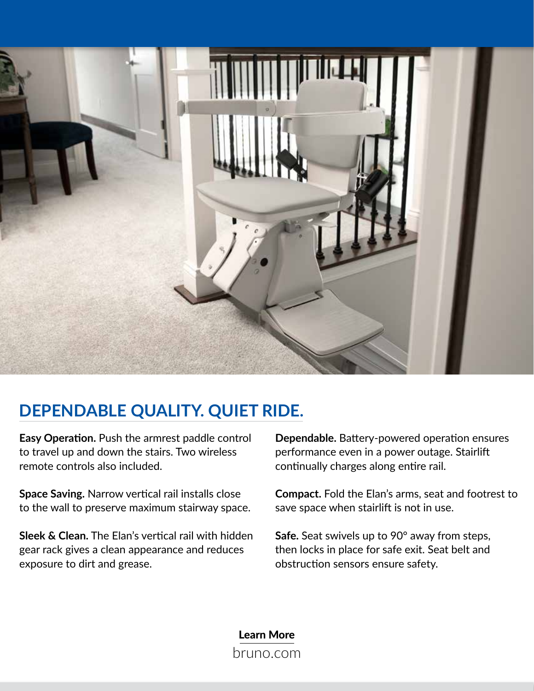

#### **DEPENDABLE QUALITY. QUIET RIDE.**

**Easy Operation.** Push the armrest paddle control to travel up and down the stairs. Two wireless remote controls also included.

**Space Saving.** Narrow vertical rail installs close to the wall to preserve maximum stairway space.

**Sleek & Clean.** The Elan's vertical rail with hidden gear rack gives a clean appearance and reduces exposure to dirt and grease.

**Dependable.** Battery-powered operation ensures performance even in a power outage. Stairlift continually charges along entire rail.

**Compact.** Fold the Elan's arms, seat and footrest to save space when stairlift is not in use.

**Safe.** Seat swivels up to 90° away from steps, then locks in place for safe exit. Seat belt and obstruction sensors ensure safety.

Learn More bruno.com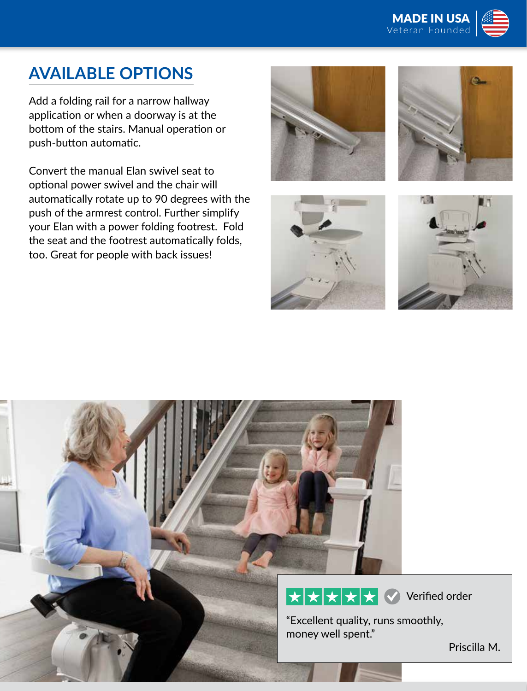

#### **AVAILABLE OPTIONS**

Add a folding rail for a narrow hallway application or when a doorway is at the bottom of the stairs. Manual operation or push-button automatic.

Convert the manual Elan swivel seat to optional power swivel and the chair will automatically rotate up to 90 degrees with the push of the armrest control. Further simplify your Elan with a power folding footrest. Fold the seat and the footrest automatically folds, too. Great for people with back issues!









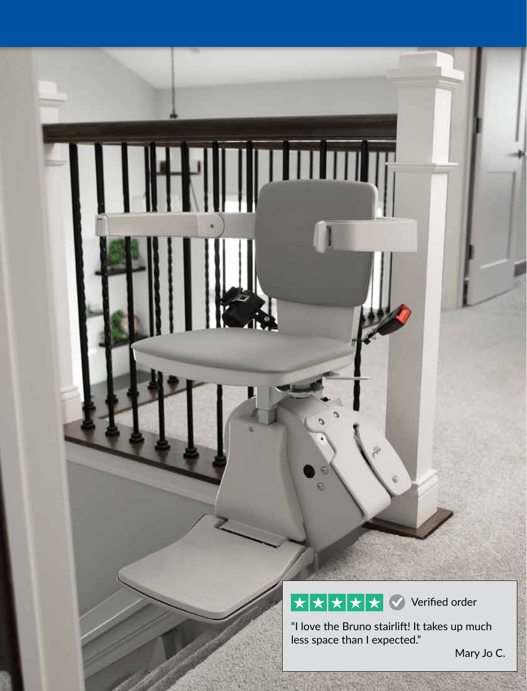$\overline{\star}$ Verified order $\bigstar$  $\bigstar$  $\star$  $\bigstar$ 

 $\mathbf{m}$ 

œ.

**THE THE** 

"I love the Bruno stairlift! It takes up much less space than I expected."

Mary Jo C.